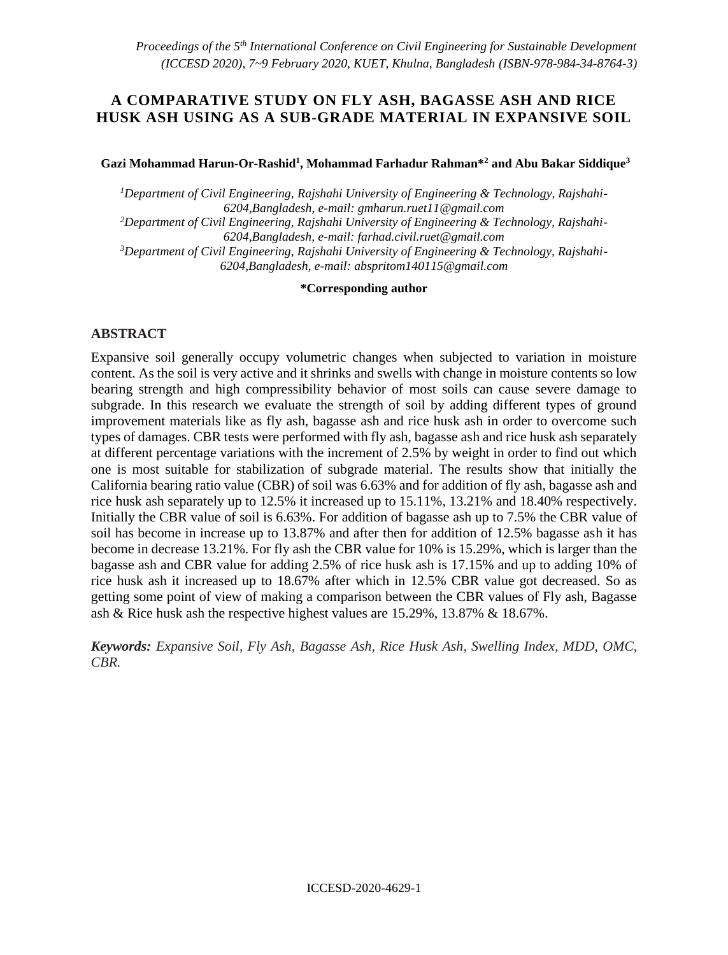## **A COMPARATIVE STUDY ON FLY ASH, BAGASSE ASH AND RICE HUSK ASH USING AS A SUB-GRADE MATERIAL IN EXPANSIVE SOIL**

#### **Gazi Mohammad Harun-Or-Rashid<sup>1</sup> , Mohammad Farhadur Rahman\*<sup>2</sup> and Abu Bakar Siddique<sup>3</sup>**

*1Department of Civil Engineering, Rajshahi University of Engineering & Technology, Rajshahi-6204,Bangladesh, e-mail: gmharun.ruet11@gmail.com 2Department of Civil Engineering, Rajshahi University of Engineering & Technology, Rajshahi-6204,Bangladesh, e-mail: farhad.civil.ruet@gmail.com 3Department of Civil Engineering, Rajshahi University of Engineering & Technology, Rajshahi-6204,Bangladesh, e-mail: abspritom140115@gmail.com*

**\*Corresponding author**

#### **ABSTRACT**

Expansive soil generally occupy volumetric changes when subjected to variation in moisture content. As the soil is very active and it shrinks and swells with change in moisture contents so low bearing strength and high compressibility behavior of most soils can cause severe damage to subgrade. In this research we evaluate the strength of soil by adding different types of ground improvement materials like as fly ash, bagasse ash and rice husk ash in order to overcome such types of damages. CBR tests were performed with fly ash, bagasse ash and rice husk ash separately at different percentage variations with the increment of 2.5% by weight in order to find out which one is most suitable for stabilization of subgrade material. The results show that initially the California bearing ratio value (CBR) of soil was 6.63% and for addition of fly ash, bagasse ash and rice husk ash separately up to 12.5% it increased up to 15.11%, 13.21% and 18.40% respectively. Initially the CBR value of soil is 6.63%. For addition of bagasse ash up to 7.5% the CBR value of soil has become in increase up to 13.87% and after then for addition of 12.5% bagasse ash it has become in decrease 13.21%. For fly ash the CBR value for 10% is 15.29%, which is larger than the bagasse ash and CBR value for adding 2.5% of rice husk ash is 17.15% and up to adding 10% of rice husk ash it increased up to 18.67% after which in 12.5% CBR value got decreased. So as getting some point of view of making a comparison between the CBR values of Fly ash, Bagasse ash & Rice husk ash the respective highest values are 15.29%, 13.87% & 18.67%.

*Keywords: Expansive Soil, Fly Ash, Bagasse Ash, Rice Husk Ash, Swelling Index, MDD, OMC, CBR.*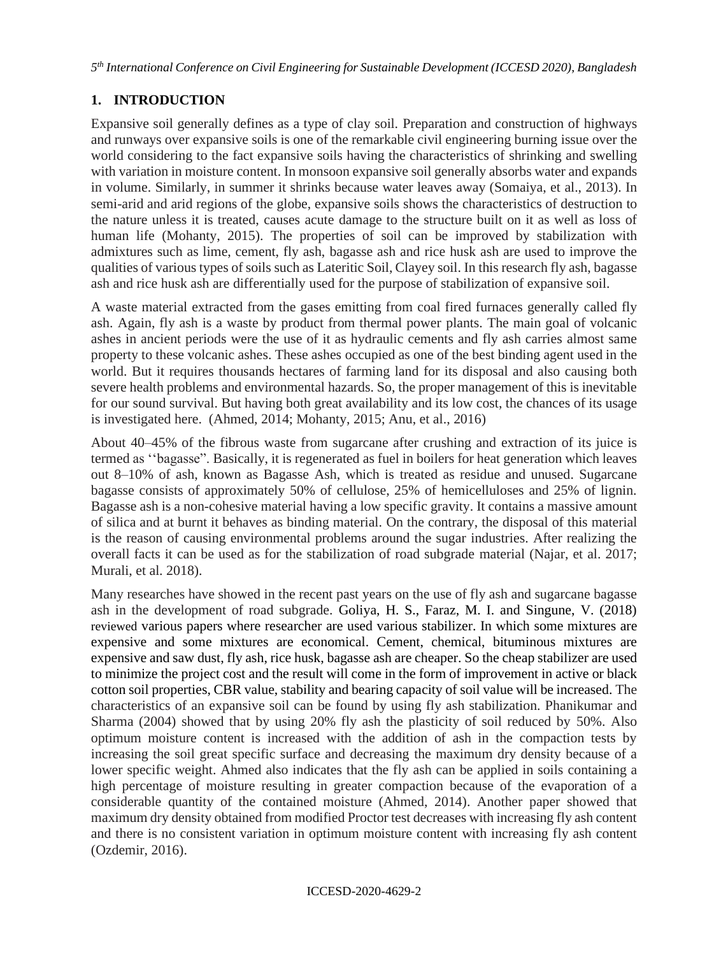# **1. INTRODUCTION**

Expansive soil generally defines as a type of clay soil. Preparation and construction of highways and runways over expansive soils is one of the remarkable civil engineering burning issue over the world considering to the fact expansive soils having the characteristics of shrinking and swelling with variation in moisture content. In monsoon expansive soil generally absorbs water and expands in volume. Similarly, in summer it shrinks because water leaves away (Somaiya, et al., 2013). In semi-arid and arid regions of the globe, expansive soils shows the characteristics of destruction to the nature unless it is treated, causes acute damage to the structure built on it as well as loss of human life (Mohanty, 2015). The properties of soil can be improved by stabilization with admixtures such as lime, cement, fly ash, bagasse ash and rice husk ash are used to improve the qualities of various types of soils such as Lateritic Soil, Clayey soil. In this research fly ash, bagasse ash and rice husk ash are differentially used for the purpose of stabilization of expansive soil.

A waste material extracted from the gases emitting from coal fired furnaces generally called fly ash. Again, fly ash is a waste by product from thermal power plants. The main goal of volcanic ashes in ancient periods were the use of it as hydraulic cements and fly ash carries almost same property to these volcanic ashes. These ashes occupied as one of the best binding agent used in the world. But it requires thousands hectares of farming land for its disposal and also causing both severe health problems and environmental hazards. So, the proper management of this is inevitable for our sound survival. But having both great availability and its low cost, the chances of its usage is investigated here. (Ahmed, 2014; Mohanty, 2015; Anu, et al., 2016)

About 40–45% of the fibrous waste from sugarcane after crushing and extraction of its juice is termed as ''bagasse". Basically, it is regenerated as fuel in boilers for heat generation which leaves out 8–10% of ash, known as Bagasse Ash, which is treated as residue and unused. Sugarcane bagasse consists of approximately 50% of cellulose, 25% of hemicelluloses and 25% of lignin. Bagasse ash is a non-cohesive material having a low specific gravity. It contains a massive amount of silica and at burnt it behaves as binding material. On the contrary, the disposal of this material is the reason of causing environmental problems around the sugar industries. After realizing the overall facts it can be used as for the stabilization of road subgrade material (Najar, et al. 2017; Murali, et al. 2018).

Many researches have showed in the recent past years on the use of fly ash and sugarcane bagasse ash in the development of road subgrade. Goliya, H. S., Faraz, M. I. and Singune, V. (2018) reviewed various papers where researcher are used various stabilizer. In which some mixtures are expensive and some mixtures are economical. Cement, chemical, bituminous mixtures are expensive and saw dust, fly ash, rice husk, bagasse ash are cheaper. So the cheap stabilizer are used to minimize the project cost and the result will come in the form of improvement in active or black cotton soil properties, CBR value, stability and bearing capacity of soil value will be increased. The characteristics of an expansive soil can be found by using fly ash stabilization. Phanikumar and Sharma (2004) showed that by using 20% fly ash the plasticity of soil reduced by 50%. Also optimum moisture content is increased with the addition of ash in the compaction tests by increasing the soil great specific surface and decreasing the maximum dry density because of a lower specific weight. Ahmed also indicates that the fly ash can be applied in soils containing a high percentage of moisture resulting in greater compaction because of the evaporation of a considerable quantity of the contained moisture (Ahmed, 2014). Another paper showed that maximum dry density obtained from modified Proctor test decreases with increasing fly ash content and there is no consistent variation in optimum moisture content with increasing fly ash content (Ozdemir, 2016).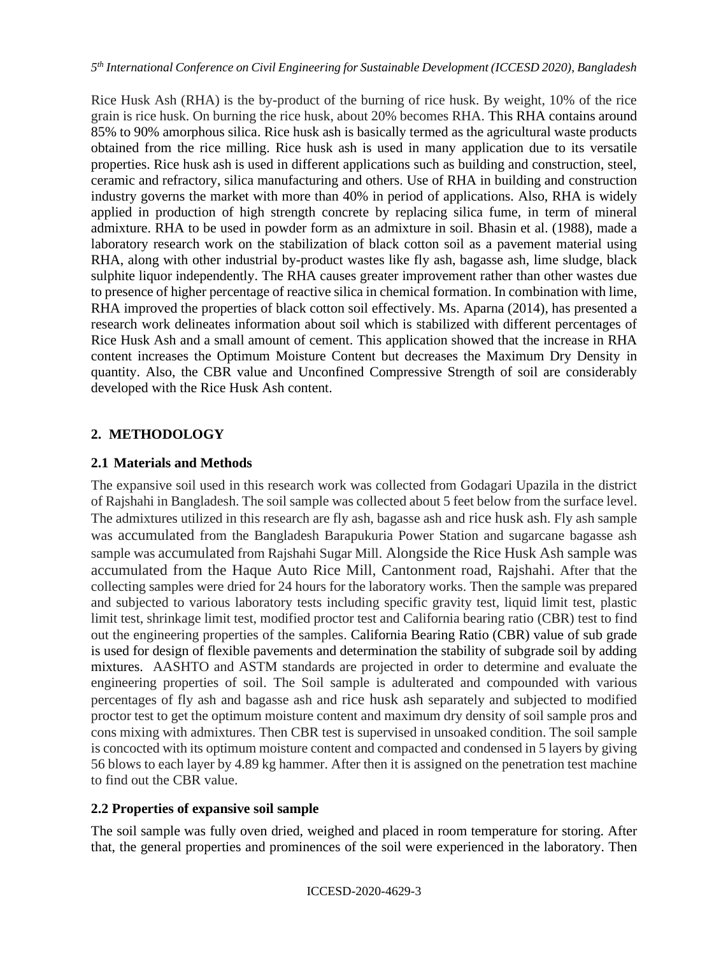Rice Husk Ash (RHA) is the by-product of the burning of rice husk. By weight, 10% of the rice grain is rice husk. On burning the rice husk, about 20% becomes RHA. This RHA contains around 85% to 90% amorphous silica. Rice husk ash is basically termed as the agricultural waste products obtained from the rice milling. Rice husk ash is used in many application due to its versatile properties. Rice husk ash is used in different applications such as building and construction, steel, ceramic and refractory, silica manufacturing and others. Use of RHA in building and construction industry governs the market with more than 40% in period of applications. Also, RHA is widely applied in production of high strength concrete by replacing silica fume, in term of mineral admixture. RHA to be used in powder form as an admixture in soil. Bhasin et al. (1988), made a laboratory research work on the stabilization of black cotton soil as a pavement material using RHA, along with other industrial by-product wastes like fly ash, bagasse ash, lime sludge, black sulphite liquor independently. The RHA causes greater improvement rather than other wastes due to presence of higher percentage of reactive silica in chemical formation. In combination with lime, RHA improved the properties of black cotton soil effectively. Ms. Aparna (2014), has presented a research work delineates information about soil which is stabilized with different percentages of Rice Husk Ash and a small amount of cement. This application showed that the increase in RHA content increases the Optimum Moisture Content but decreases the Maximum Dry Density in quantity. Also, the CBR value and Unconfined Compressive Strength of soil are considerably developed with the Rice Husk Ash content.

# **2. METHODOLOGY**

## **2.1 Materials and Methods**

The expansive soil used in this research work was collected from Godagari Upazila in the district of Rajshahi in Bangladesh. The soil sample was collected about 5 feet below from the surface level. The admixtures utilized in this research are fly ash, bagasse ash and rice husk ash. Fly ash sample was accumulated from the Bangladesh Barapukuria Power Station and sugarcane bagasse ash sample was accumulated from Rajshahi Sugar Mill. Alongside the Rice Husk Ash sample was accumulated from the Haque Auto Rice Mill, Cantonment road, Rajshahi. After that the collecting samples were dried for 24 hours for the laboratory works. Then the sample was prepared and subjected to various laboratory tests including specific gravity test, liquid limit test, plastic limit test, shrinkage limit test, modified proctor test and California bearing ratio (CBR) test to find out the engineering properties of the samples. California Bearing Ratio (CBR) value of sub grade is used for design of flexible pavements and determination the stability of subgrade soil by adding mixtures. AASHTO and ASTM standards are projected in order to determine and evaluate the engineering properties of soil. The Soil sample is adulterated and compounded with various percentages of fly ash and bagasse ash and rice husk ash separately and subjected to modified proctor test to get the optimum moisture content and maximum dry density of soil sample pros and cons mixing with admixtures. Then CBR test is supervised in unsoaked condition. The soil sample is concocted with its optimum moisture content and compacted and condensed in 5 layers by giving 56 blows to each layer by 4.89 kg hammer. After then it is assigned on the penetration test machine to find out the CBR value.

## **2.2 Properties of expansive soil sample**

The soil sample was fully oven dried, weighed and placed in room temperature for storing. After that, the general properties and prominences of the soil were experienced in the laboratory. Then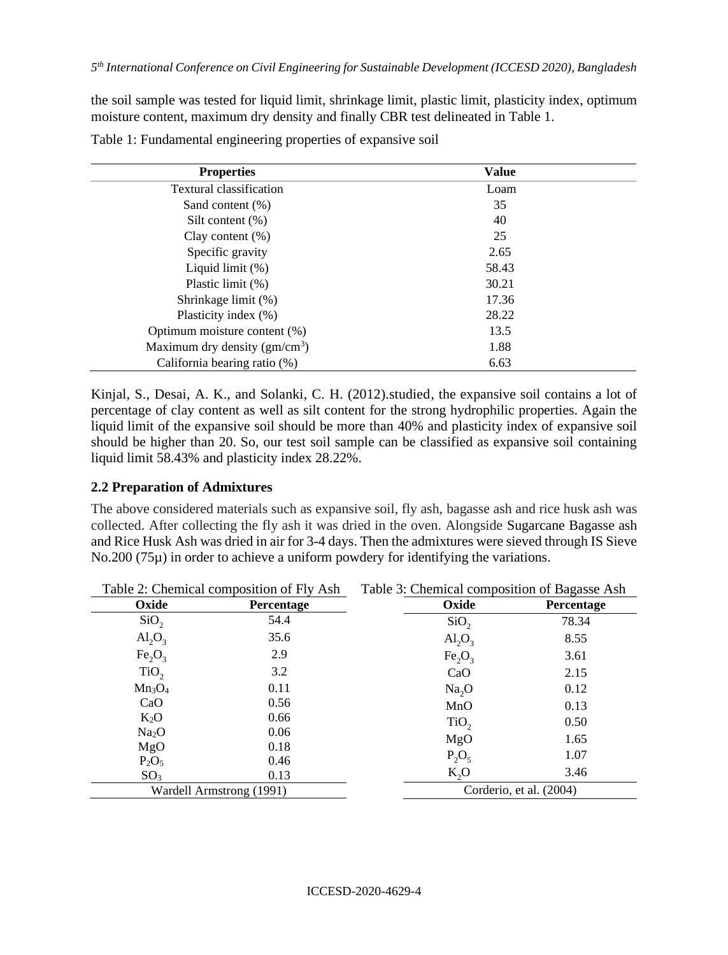the soil sample was tested for liquid limit, shrinkage limit, plastic limit, plasticity index, optimum moisture content, maximum dry density and finally CBR test delineated in Table 1.

| <b>Properties</b>              | Value |  |
|--------------------------------|-------|--|
| Textural classification        | Loam  |  |
| Sand content $(\%)$            | 35    |  |
| Silt content $(\%)$            | 40    |  |
| Clay content $(\%)$            | 25    |  |
| Specific gravity               | 2.65  |  |
| Liquid limit $(\%)$            | 58.43 |  |
| Plastic limit (%)              | 30.21 |  |
| Shrinkage limit (%)            | 17.36 |  |
| Plasticity index (%)           | 28.22 |  |
| Optimum moisture content (%)   | 13.5  |  |
| Maximum dry density $(gm/cm3)$ | 1.88  |  |
| California bearing ratio (%)   | 6.63  |  |

Table 1: Fundamental engineering properties of expansive soil

Kinjal, S., Desai, A. K., and Solanki, C. H. (2012).studied, the expansive soil contains a lot of percentage of clay content as well as silt content for the strong hydrophilic properties. Again the liquid limit of the expansive soil should be more than 40% and plasticity index of expansive soil should be higher than 20. So, our test soil sample can be classified as expansive soil containing liquid limit 58.43% and plasticity index 28.22%.

#### **2.2 Preparation of Admixtures**

The above considered materials such as expansive soil, fly ash, bagasse ash and rice husk ash was collected. After collecting the fly ash it was dried in the oven. Alongside Sugarcane Bagasse ash and Rice Husk Ash was dried in air for 3-4 days. Then the admixtures were sieved through IS Sieve No.200 (75 $\mu$ ) in order to achieve a uniform powdery for identifying the variations.

| Table 2: Chemical composition of Fly Ash |                          | Table 3: Chemical composition of Bagasse Ash |                         |  |
|------------------------------------------|--------------------------|----------------------------------------------|-------------------------|--|
| Oxide                                    | Percentage               | Oxide                                        | Percentage              |  |
| SiO <sub>2</sub>                         | 54.4                     | SiO <sub>2</sub>                             | 78.34                   |  |
| $\text{Al}_2\text{O}_3$                  | 35.6                     | $\text{Al}_2\text{O}_3$                      | 8.55                    |  |
| Fe <sub>2</sub> O <sub>3</sub>           | 2.9                      | Fe <sub>2</sub> O <sub>3</sub>               | 3.61                    |  |
| TiO <sub>2</sub>                         | 3.2                      | CaO                                          | 2.15                    |  |
| $Mn_3O_4$                                | 0.11                     | Na <sub>2</sub> O                            | 0.12                    |  |
| CaO                                      | 0.56                     | MnO                                          | 0.13                    |  |
| $K_2O$                                   | 0.66                     | TiO <sub>2</sub>                             | 0.50                    |  |
| Na <sub>2</sub> O                        | 0.06                     | MgO                                          | 1.65                    |  |
| MgO                                      | 0.18                     | $P_2O_5$                                     | 1.07                    |  |
| $P_2O_5$                                 | 0.46                     |                                              |                         |  |
| SO <sub>3</sub>                          | 0.13                     | $K_2O$                                       | 3.46                    |  |
|                                          | Wardell Armstrong (1991) |                                              | Corderio, et al. (2004) |  |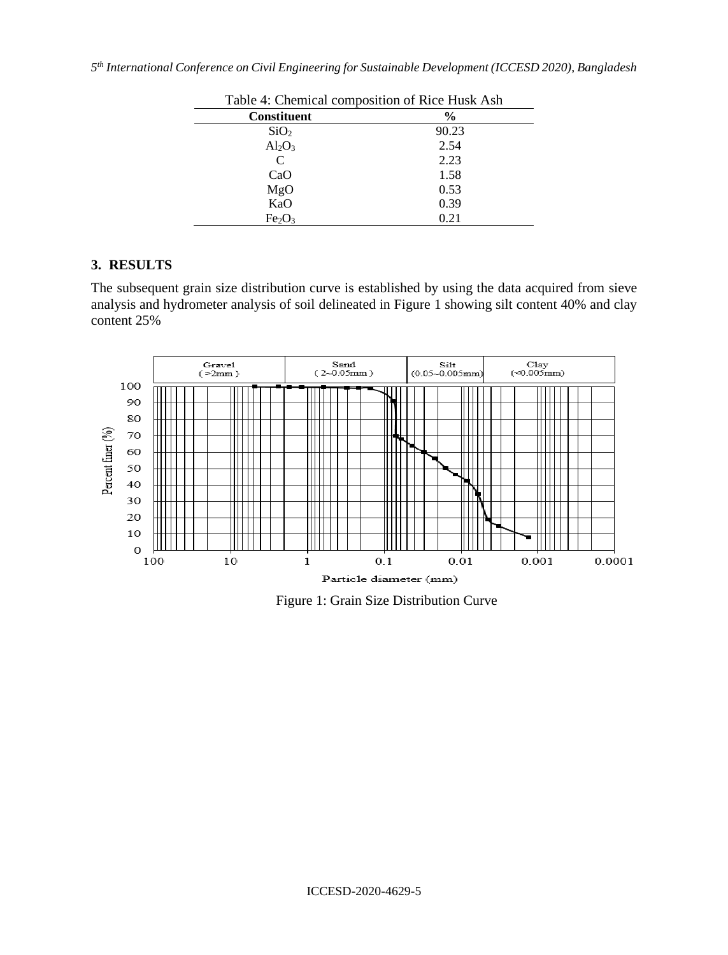|  |  |  |  |  | 5 <sup>th</sup> International Conference on Civil Engineering for Sustainable Development (ICCESD 2020), Bangladesh |  |  |
|--|--|--|--|--|---------------------------------------------------------------------------------------------------------------------|--|--|
|--|--|--|--|--|---------------------------------------------------------------------------------------------------------------------|--|--|

|                                | Table 4: Chemical composition of Rice Husk Ash |  |  |
|--------------------------------|------------------------------------------------|--|--|
| <b>Constituent</b>             | $\frac{0}{0}$                                  |  |  |
| SiO <sub>2</sub>               | 90.23                                          |  |  |
| $Al_2O_3$                      | 2.54                                           |  |  |
| C                              | 2.23                                           |  |  |
| CaO                            | 1.58                                           |  |  |
| MgO                            | 0.53                                           |  |  |
| KaO                            | 0.39                                           |  |  |
| Fe <sub>2</sub> O <sub>3</sub> | 0.21                                           |  |  |

# **3. RESULTS**

The subsequent grain size distribution curve is established by using the data acquired from sieve analysis and hydrometer analysis of soil delineated in Figure 1 showing silt content 40% and clay content 25%



Figure 1: Grain Size Distribution Curve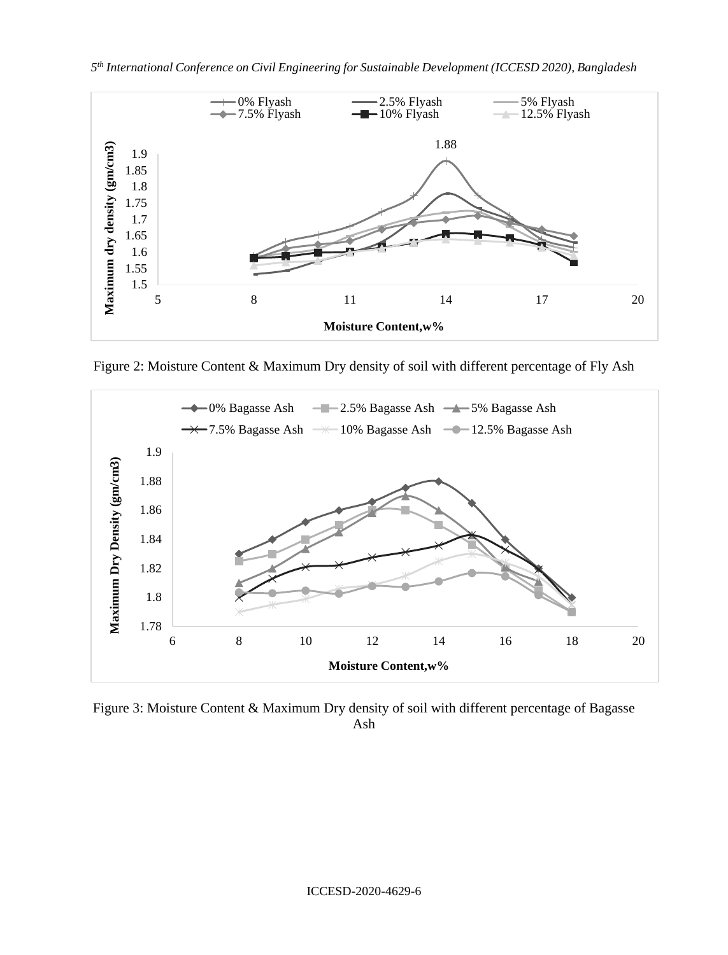

Figure 2: Moisture Content & Maximum Dry density of soil with different percentage of Fly Ash



Figure 3: Moisture Content & Maximum Dry density of soil with different percentage of Bagasse Ash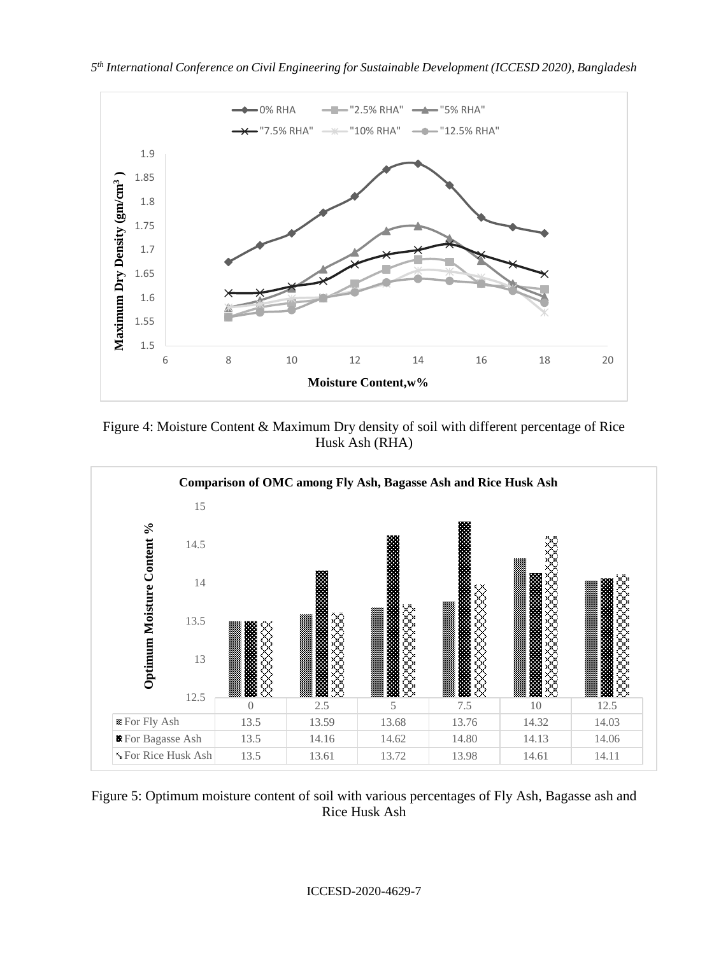

*5 th International Conference on Civil Engineering for Sustainable Development (ICCESD 2020), Bangladesh*

Figure 4: Moisture Content & Maximum Dry density of soil with different percentage of Rice Husk Ash (RHA)



Figure 5: Optimum moisture content of soil with various percentages of Fly Ash, Bagasse ash and Rice Husk Ash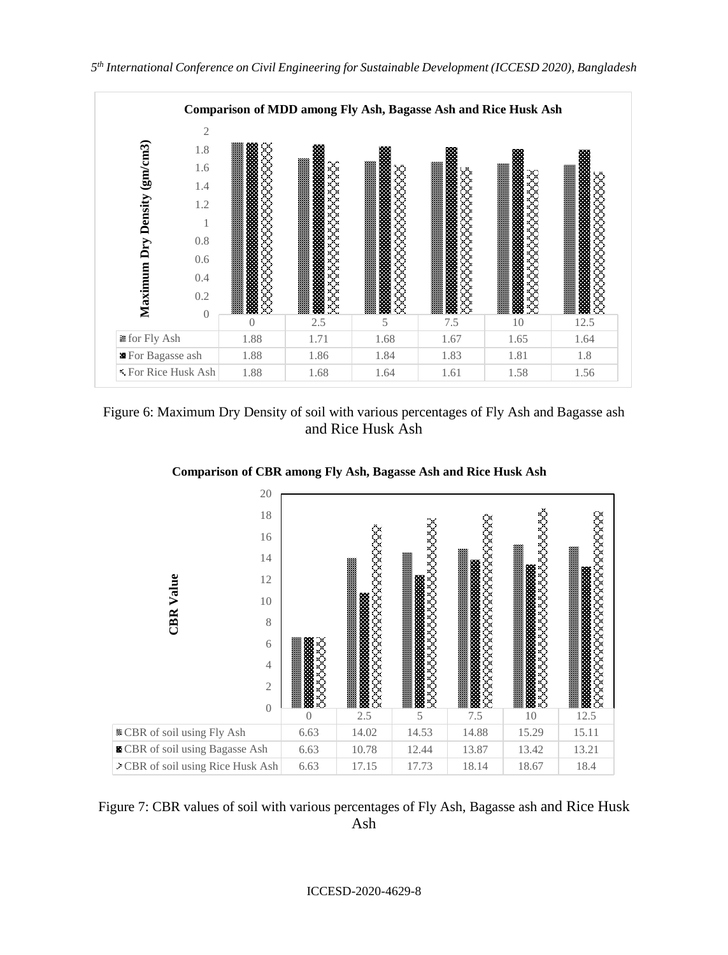

Figure 6: Maximum Dry Density of soil with various percentages of Fly Ash and Bagasse ash and Rice Husk Ash



**Comparison of CBR among Fly Ash, Bagasse Ash and Rice Husk Ash**



ICCESD-2020-4629-8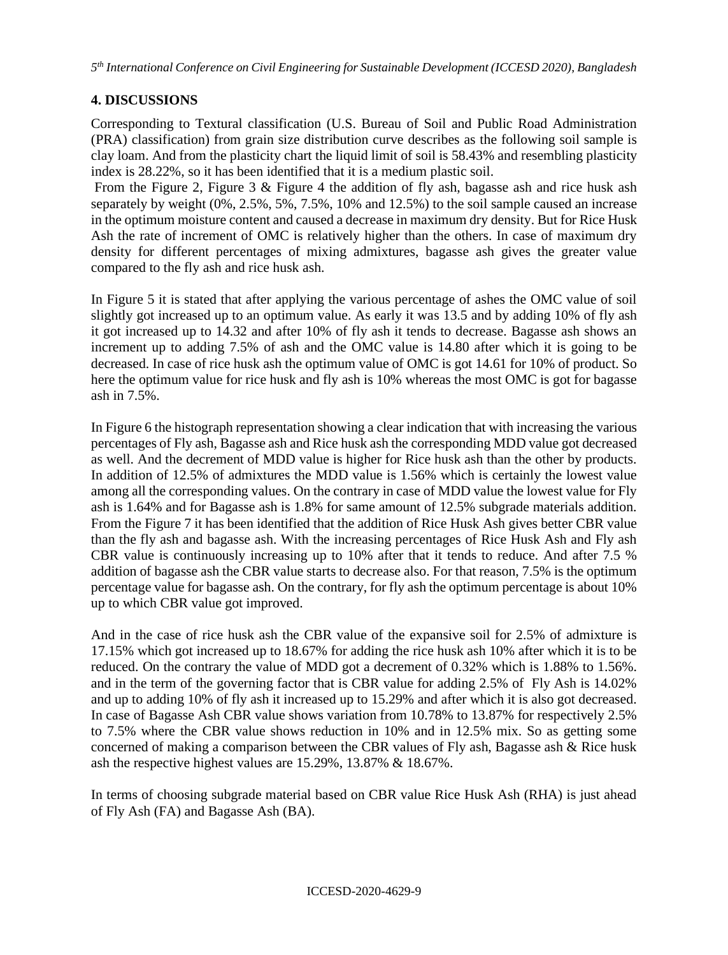## **4. DISCUSSIONS**

Corresponding to Textural classification (U.S. Bureau of Soil and Public Road Administration (PRA) classification) from grain size distribution curve describes as the following soil sample is clay loam. And from the plasticity chart the liquid limit of soil is 58.43% and resembling plasticity index is 28.22%, so it has been identified that it is a medium plastic soil.

From the Figure 2, Figure 3 & Figure 4 the addition of fly ash, bagasse ash and rice husk ash separately by weight (0%, 2.5%, 5%, 7.5%, 10% and 12.5%) to the soil sample caused an increase in the optimum moisture content and caused a decrease in maximum dry density. But for Rice Husk Ash the rate of increment of OMC is relatively higher than the others. In case of maximum dry density for different percentages of mixing admixtures, bagasse ash gives the greater value compared to the fly ash and rice husk ash.

In Figure 5 it is stated that after applying the various percentage of ashes the OMC value of soil slightly got increased up to an optimum value. As early it was 13.5 and by adding 10% of fly ash it got increased up to 14.32 and after 10% of fly ash it tends to decrease. Bagasse ash shows an increment up to adding 7.5% of ash and the OMC value is 14.80 after which it is going to be decreased. In case of rice husk ash the optimum value of OMC is got 14.61 for 10% of product. So here the optimum value for rice husk and fly ash is 10% whereas the most OMC is got for bagasse ash in 7.5%.

In Figure 6 the histograph representation showing a clear indication that with increasing the various percentages of Fly ash, Bagasse ash and Rice husk ash the corresponding MDD value got decreased as well. And the decrement of MDD value is higher for Rice husk ash than the other by products. In addition of 12.5% of admixtures the MDD value is 1.56% which is certainly the lowest value among all the corresponding values. On the contrary in case of MDD value the lowest value for Fly ash is 1.64% and for Bagasse ash is 1.8% for same amount of 12.5% subgrade materials addition. From the Figure 7 it has been identified that the addition of Rice Husk Ash gives better CBR value than the fly ash and bagasse ash. With the increasing percentages of Rice Husk Ash and Fly ash CBR value is continuously increasing up to 10% after that it tends to reduce. And after 7.5 % addition of bagasse ash the CBR value starts to decrease also. For that reason, 7.5% is the optimum percentage value for bagasse ash. On the contrary, for fly ash the optimum percentage is about 10% up to which CBR value got improved.

And in the case of rice husk ash the CBR value of the expansive soil for 2.5% of admixture is 17.15% which got increased up to 18.67% for adding the rice husk ash 10% after which it is to be reduced. On the contrary the value of MDD got a decrement of 0.32% which is 1.88% to 1.56%. and in the term of the governing factor that is CBR value for adding 2.5% of Fly Ash is 14.02% and up to adding 10% of fly ash it increased up to 15.29% and after which it is also got decreased. In case of Bagasse Ash CBR value shows variation from 10.78% to 13.87% for respectively 2.5% to 7.5% where the CBR value shows reduction in 10% and in 12.5% mix. So as getting some concerned of making a comparison between the CBR values of Fly ash, Bagasse ash & Rice husk ash the respective highest values are 15.29%, 13.87% & 18.67%.

In terms of choosing subgrade material based on CBR value Rice Husk Ash (RHA) is just ahead of Fly Ash (FA) and Bagasse Ash (BA).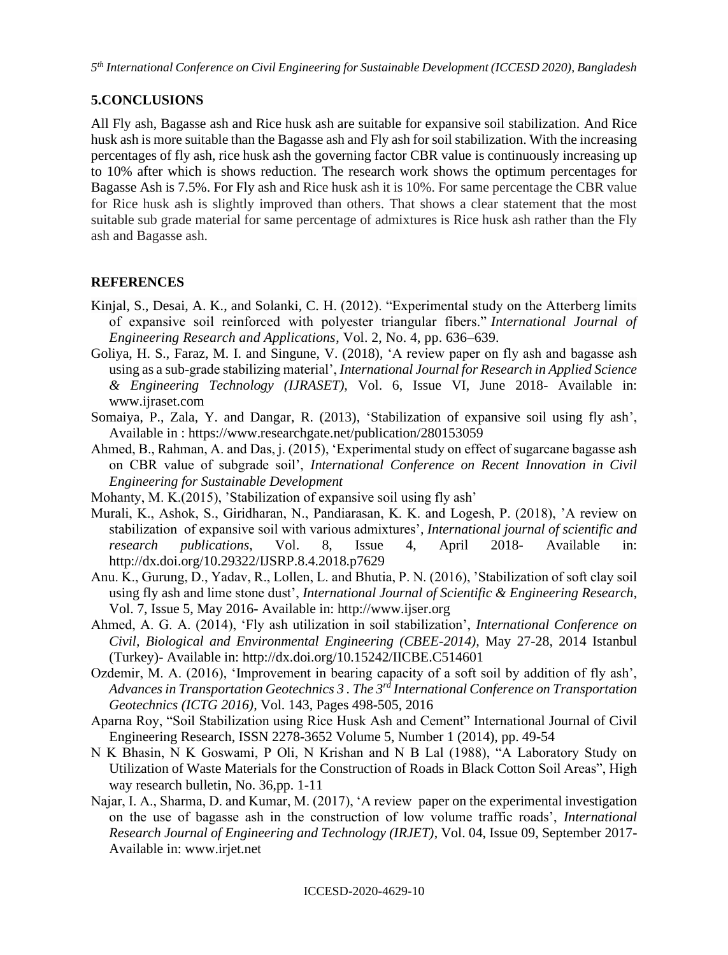# **5.CONCLUSIONS**

All Fly ash, Bagasse ash and Rice husk ash are suitable for expansive soil stabilization. And Rice husk ash is more suitable than the Bagasse ash and Fly ash for soil stabilization. With the increasing percentages of fly ash, rice husk ash the governing factor CBR value is continuously increasing up to 10% after which is shows reduction. The research work shows the optimum percentages for Bagasse Ash is 7.5%. For Fly ash and Rice husk ash it is 10%. For same percentage the CBR value for Rice husk ash is slightly improved than others. That shows a clear statement that the most suitable sub grade material for same percentage of admixtures is Rice husk ash rather than the Fly ash and Bagasse ash.

## **REFERENCES**

- Kinjal, S., Desai, A. K., and Solanki, C. H. (2012). "Experimental study on the Atterberg limits of expansive soil reinforced with polyester triangular fibers." *International Journal of Engineering Research and Applications*, Vol. 2, No. 4, pp. 636–639.
- Goliya, H. S., Faraz, M. I. and Singune, V. (2018), 'A review paper on fly ash and bagasse ash using as a sub-grade stabilizing material', *International Journal for Research in Applied Science & Engineering Technology (IJRASET),* Vol. 6, Issue VI, June 2018- Available in: www.ijraset.com
- Somaiya, P., Zala, Y. and Dangar, R. (2013), 'Stabilization of expansive soil using fly ash', Available in : <https://www.researchgate.net/publication/280153059>
- Ahmed, B., Rahman, A. and Das, j. (2015), 'Experimental study on effect of sugarcane bagasse ash on CBR value of subgrade soil', *International Conference on Recent Innovation in Civil Engineering for Sustainable Development*
- Mohanty, M. K.(2015), 'Stabilization of expansive soil using fly ash'
- Murali, K., Ashok, S., Giridharan, N., Pandiarasan, K. K. and Logesh, P. (2018), 'A review on stabilization of expansive soil with various admixtures'*, International journal of scientific and research publications*, Vol. 8, Issue 4, April 2018- Available in: http://dx.doi.org/10.29322/IJSRP.8.4.2018.p7629
- Anu. K., Gurung, D., Yadav, R., Lollen, L. and Bhutia, P. N. (2016), 'Stabilization of soft clay soil using fly ash and lime stone dust', *International Journal of Scientific & Engineering Research*, Vol. 7, Issue 5, May 2016- Available in: http://www.ijser.org
- Ahmed, A. G. A. (2014), 'Fly ash utilization in soil stabilization', *International Conference on Civil, Biological and Environmental Engineering (CBEE-2014),* May 27-28, 2014 Istanbul (Turkey)- Available in:<http://dx.doi.org/10.15242/IICBE.C514601>
- Ozdemir, M. A. (2016), 'Improvement in bearing capacity of a soft soil by addition of fly ash', *Advances in Transportation Geotechnics 3 . The 3rd International Conference on Transportation Geotechnics (ICTG 2016),* Vol. 143, Pages 498-505, 2016
- Aparna Roy, "Soil Stabilization using Rice Husk Ash and Cement" International Journal of Civil Engineering Research, ISSN 2278-3652 Volume 5, Number 1 (2014), pp. 49-54
- N K Bhasin, N K Goswami, P Oli, N Krishan and N B Lal (1988), "A Laboratory Study on Utilization of Waste Materials for the Construction of Roads in Black Cotton Soil Areas", High way research bulletin, No. 36,pp. 1-11
- Najar, I. A., Sharma, D. and Kumar, M. (2017), 'A review paper on the experimental investigation on the use of bagasse ash in the construction of low volume traffic roads', *International Research Journal of Engineering and Technology (IRJET)*, Vol. 04, Issue 09, September 2017- Available in: www.irjet.net